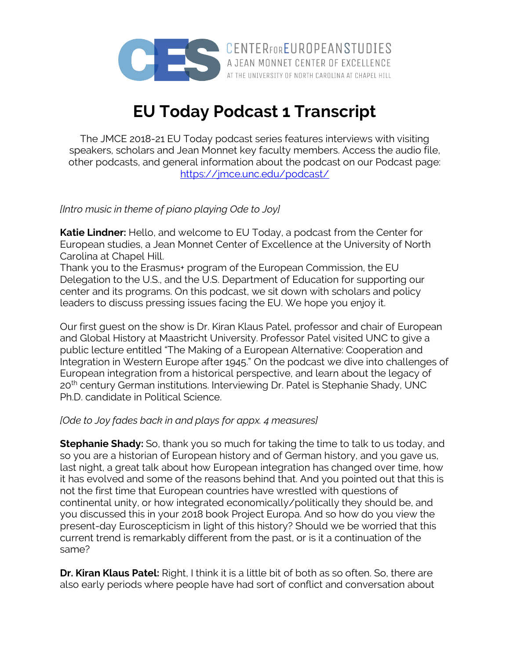

**EU Today Podcast 1 Transcript**

The JMCE 2018-21 EU Today podcast series features interviews with visiting speakers, scholars and Jean Monnet key faculty members. Access the audio file, other podcasts, and general information about the podcast on our Podcast page: https://jmce.unc.edu/podcast/

*[Intro music in theme of piano playing Ode to Joy]*

**Katie Lindner:** Hello, and welcome to EU Today, a podcast from the Center for European studies, a Jean Monnet Center of Excellence at the University of North Carolina at Chapel Hill.

Thank you to the Erasmus+ program of the European Commission, the EU Delegation to the U.S., and the U.S. Department of Education for supporting our center and its programs. On this podcast, we sit down with scholars and policy leaders to discuss pressing issues facing the EU. We hope you enjoy it.

Our first guest on the show is Dr. Kiran Klaus Patel, professor and chair of European and Global History at Maastricht University. Professor Patel visited UNC to give a public lecture entitled "The Making of a European Alternative: Cooperation and Integration in Western Europe after 1945." On the podcast we dive into challenges of European integration from a historical perspective, and learn about the legacy of 20<sup>th</sup> century German institutions. Interviewing Dr. Patel is Stephanie Shady, UNC Ph.D. candidate in Political Science.

## *[Ode to Joy fades back in and plays for appx. 4 measures]*

**Stephanie Shady:** So, thank you so much for taking the time to talk to us today, and so you are a historian of European history and of German history, and you gave us, last night, a great talk about how European integration has changed over time, how it has evolved and some of the reasons behind that. And you pointed out that this is not the first time that European countries have wrestled with questions of continental unity, or how integrated economically/politically they should be, and you discussed this in your 2018 book Project Europa. And so how do you view the present-day Euroscepticism in light of this history? Should we be worried that this current trend is remarkably different from the past, or is it a continuation of the same?

**Dr. Kiran Klaus Patel:** Right, I think it is a little bit of both as so often. So, there are also early periods where people have had sort of conflict and conversation about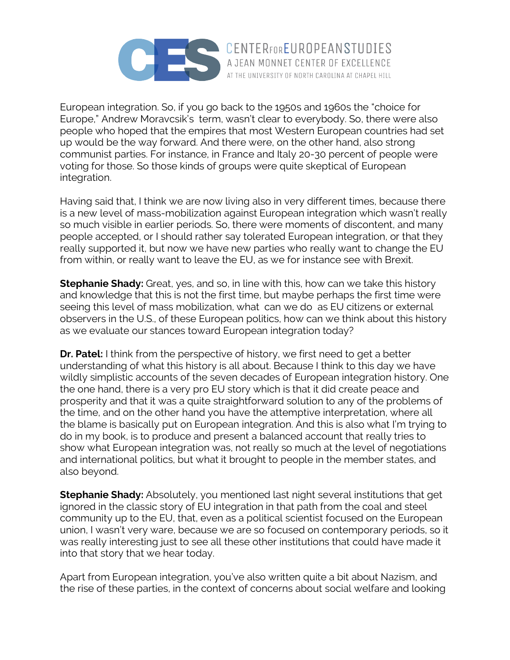

European integration. So, if you go back to the 1950s and 1960s the "choice for Europe," Andrew Moravcsik's term, wasn't clear to everybody. So, there were also people who hoped that the empires that most Western European countries had set up would be the way forward. And there were, on the other hand, also strong communist parties. For instance, in France and Italy 20-30 percent of people were voting for those. So those kinds of groups were quite skeptical of European integration.

Having said that, I think we are now living also in very different times, because there is a new level of mass-mobilization against European integration which wasn't really so much visible in earlier periods. So, there were moments of discontent, and many people accepted, or I should rather say tolerated European integration, or that they really supported it, but now we have new parties who really want to change the EU from within, or really want to leave the EU, as we for instance see with Brexit.

**Stephanie Shady:** Great, yes, and so, in line with this, how can we take this history and knowledge that this is not the first time, but maybe perhaps the first time were seeing this level of mass mobilization, what can we do as EU citizens or external observers in the U.S., of these European politics, how can we think about this history as we evaluate our stances toward European integration today?

**Dr. Patel:** I think from the perspective of history, we first need to get a better understanding of what this history is all about. Because I think to this day we have wildly simplistic accounts of the seven decades of European integration history. One the one hand, there is a very pro EU story which is that it did create peace and prosperity and that it was a quite straightforward solution to any of the problems of the time, and on the other hand you have the attemptive interpretation, where all the blame is basically put on European integration. And this is also what I'm trying to do in my book, is to produce and present a balanced account that really tries to show what European integration was, not really so much at the level of negotiations and international politics, but what it brought to people in the member states, and also beyond.

**Stephanie Shady:** Absolutely, you mentioned last night several institutions that get ignored in the classic story of EU integration in that path from the coal and steel community up to the EU, that, even as a political scientist focused on the European union, I wasn't very ware, because we are so focused on contemporary periods, so it was really interesting just to see all these other institutions that could have made it into that story that we hear today.

Apart from European integration, you've also written quite a bit about Nazism, and the rise of these parties, in the context of concerns about social welfare and looking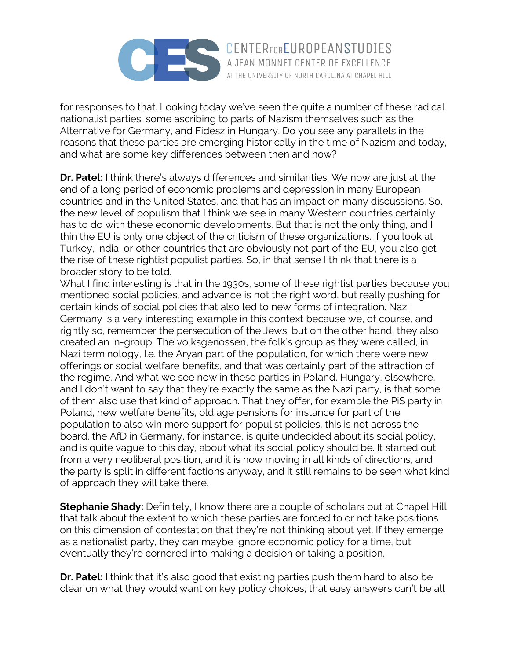

for responses to that. Looking today we've seen the quite a number of these radical nationalist parties, some ascribing to parts of Nazism themselves such as the Alternative for Germany, and Fidesz in Hungary. Do you see any parallels in the reasons that these parties are emerging historically in the time of Nazism and today, and what are some key differences between then and now?

**Dr. Patel:** I think there's always differences and similarities. We now are just at the end of a long period of economic problems and depression in many European countries and in the United States, and that has an impact on many discussions. So, the new level of populism that I think we see in many Western countries certainly has to do with these economic developments. But that is not the only thing, and I thin the EU is only one object of the criticism of these organizations. If you look at Turkey, India, or other countries that are obviously not part of the EU, you also get the rise of these rightist populist parties. So, in that sense I think that there is a broader story to be told.

What I find interesting is that in the 1930s, some of these rightist parties because you mentioned social policies, and advance is not the right word, but really pushing for certain kinds of social policies that also led to new forms of integration. Nazi Germany is a very interesting example in this context because we, of course, and rightly so, remember the persecution of the Jews, but on the other hand, they also created an in-group. The volksgenossen, the folk's group as they were called, in Nazi terminology, I.e. the Aryan part of the population, for which there were new offerings or social welfare benefits, and that was certainly part of the attraction of the regime. And what we see now in these parties in Poland, Hungary, elsewhere, and I don't want to say that they're exactly the same as the Nazi party, is that some of them also use that kind of approach. That they offer, for example the PiS party in Poland, new welfare benefits, old age pensions for instance for part of the population to also win more support for populist policies, this is not across the board, the AfD in Germany, for instance, is quite undecided about its social policy, and is quite vague to this day, about what its social policy should be. It started out from a very neoliberal position, and it is now moving in all kinds of directions, and the party is split in different factions anyway, and it still remains to be seen what kind of approach they will take there.

**Stephanie Shady:** Definitely, I know there are a couple of scholars out at Chapel Hill that talk about the extent to which these parties are forced to or not take positions on this dimension of contestation that they're not thinking about yet. If they emerge as a nationalist party, they can maybe ignore economic policy for a time, but eventually they're cornered into making a decision or taking a position.

**Dr. Patel:** I think that it's also good that existing parties push them hard to also be clear on what they would want on key policy choices, that easy answers can't be all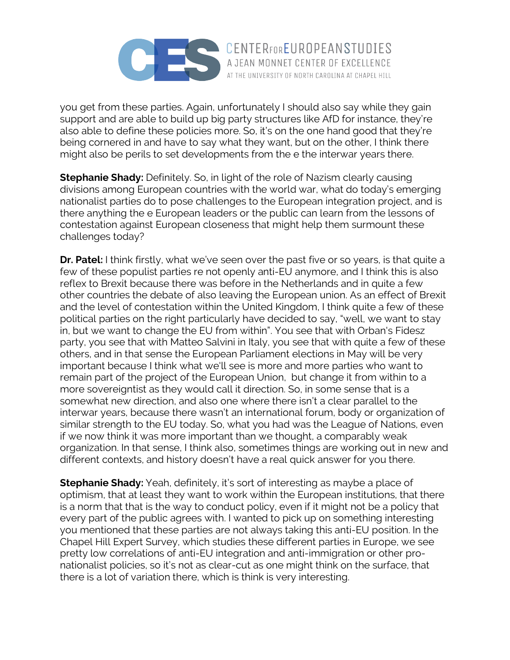

you get from these parties. Again, unfortunately I should also say while they gain support and are able to build up big party structures like AfD for instance, they're also able to define these policies more. So, it's on the one hand good that they're being cornered in and have to say what they want, but on the other, I think there might also be perils to set developments from the e the interwar years there.

AT THE UNIVERSITY OF NORTH CAROLINA AT CHAPEL HILL

**Stephanie Shady:** Definitely. So, in light of the role of Nazism clearly causing divisions among European countries with the world war, what do today's emerging nationalist parties do to pose challenges to the European integration project, and is there anything the e European leaders or the public can learn from the lessons of contestation against European closeness that might help them surmount these challenges today?

**Dr. Patel:** I think firstly, what we've seen over the past five or so years, is that quite a few of these populist parties re not openly anti-EU anymore, and I think this is also reflex to Brexit because there was before in the Netherlands and in quite a few other countries the debate of also leaving the European union. As an effect of Brexit and the level of contestation within the United Kingdom, I think quite a few of these political parties on the right particularly have decided to say, "well, we want to stay in, but we want to change the EU from within". You see that with Orban's Fidesz party, you see that with Matteo Salvini in Italy, you see that with quite a few of these others, and in that sense the European Parliament elections in May will be very important because I think what we'll see is more and more parties who want to remain part of the project of the European Union, but change it from within to a more sovereigntist as they would call it direction. So, in some sense that is a somewhat new direction, and also one where there isn't a clear parallel to the interwar years, because there wasn't an international forum, body or organization of similar strength to the EU today. So, what you had was the League of Nations, even if we now think it was more important than we thought, a comparably weak organization. In that sense, I think also, sometimes things are working out in new and different contexts, and history doesn't have a real quick answer for you there.

**Stephanie Shady:** Yeah, definitely, it's sort of interesting as maybe a place of optimism, that at least they want to work within the European institutions, that there is a norm that that is the way to conduct policy, even if it might not be a policy that every part of the public agrees with. I wanted to pick up on something interesting you mentioned that these parties are not always taking this anti-EU position. In the Chapel Hill Expert Survey, which studies these different parties in Europe, we see pretty low correlations of anti-EU integration and anti-immigration or other pronationalist policies, so it's not as clear-cut as one might think on the surface, that there is a lot of variation there, which is think is very interesting.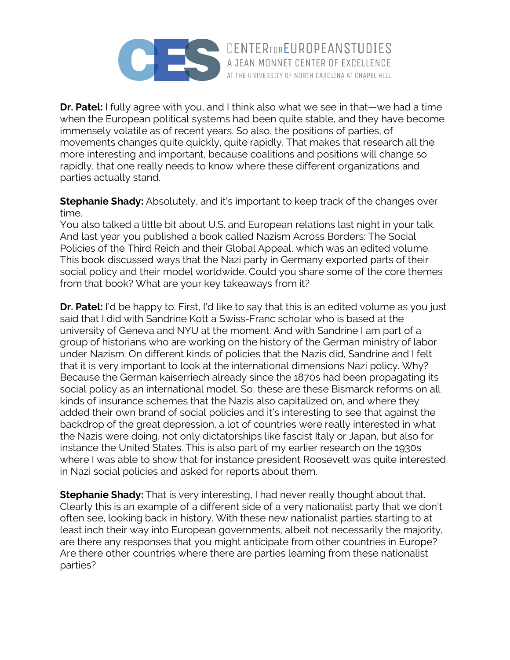

**Dr. Patel:** I fully agree with you, and I think also what we see in that—we had a time when the European political systems had been quite stable, and they have become immensely volatile as of recent years. So also, the positions of parties, of movements changes quite quickly, quite rapidly. That makes that research all the more interesting and important, because coalitions and positions will change so rapidly, that one really needs to know where these different organizations and parties actually stand.

AT THE UNIVERSITY OF NORTH CAROLINA AT CHAPEL HILL

**Stephanie Shady:** Absolutely, and it's important to keep track of the changes over time.

You also talked a little bit about U.S. and European relations last night in your talk. And last year you published a book called Nazism Across Borders: The Social Policies of the Third Reich and their Global Appeal, which was an edited volume. This book discussed ways that the Nazi party in Germany exported parts of their social policy and their model worldwide. Could you share some of the core themes from that book? What are your key takeaways from it?

**Dr. Patel:** I'd be happy to. First, I'd like to say that this is an edited volume as you just said that I did with Sandrine Kott a Swiss-Franc scholar who is based at the university of Geneva and NYU at the moment. And with Sandrine I am part of a group of historians who are working on the history of the German ministry of labor under Nazism. On different kinds of policies that the Nazis did, Sandrine and I felt that it is very important to look at the international dimensions Nazi policy. Why? Because the German kaiserriech already since the 1870s had been propagating its social policy as an international model. So, these are these Bismarck reforms on all kinds of insurance schemes that the Nazis also capitalized on, and where they added their own brand of social policies and it's interesting to see that against the backdrop of the great depression, a lot of countries were really interested in what the Nazis were doing, not only dictatorships like fascist Italy or Japan, but also for instance the United States. This is also part of my earlier research on the 1930s where I was able to show that for instance president Roosevelt was quite interested in Nazi social policies and asked for reports about them.

**Stephanie Shady:** That is very interesting, I had never really thought about that. Clearly this is an example of a different side of a very nationalist party that we don't often see, looking back in history. With these new nationalist parties starting to at least inch their way into European governments, albeit not necessarily the majority, are there any responses that you might anticipate from other countries in Europe? Are there other countries where there are parties learning from these nationalist parties?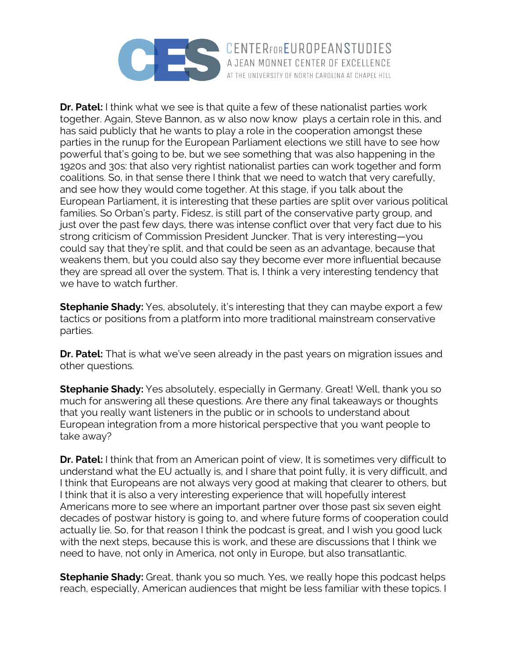

**Dr. Patel:** I think what we see is that quite a few of these nationalist parties work together. Again, Steve Bannon, as w also now know plays a certain role in this, and has said publicly that he wants to play a role in the cooperation amongst these parties in the runup for the European Parliament elections we still have to see how powerful that's going to be, but we see something that was also happening in the 1920s and 30s: that also very rightist nationalist parties can work together and form coalitions. So, in that sense there I think that we need to watch that very carefully, and see how they would come together. At this stage, if you talk about the European Parliament, it is interesting that these parties are split over various political families. So Orban's party, Fidesz, is still part of the conservative party group, and just over the past few days, there was intense conflict over that very fact due to his strong criticism of Commission President Juncker. That is very interesting—you could say that they're split, and that could be seen as an advantage, because that weakens them, but you could also say they become ever more influential because they are spread all over the system. That is, I think a very interesting tendency that we have to watch further.

**Stephanie Shady:** Yes, absolutely, it's interesting that they can maybe export a few tactics or positions from a platform into more traditional mainstream conservative parties.

**Dr. Patel:** That is what we've seen already in the past years on migration issues and other questions.

**Stephanie Shady:** Yes absolutely, especially in Germany. Great! Well, thank you so much for answering all these questions. Are there any final takeaways or thoughts that you really want listeners in the public or in schools to understand about European integration from a more historical perspective that you want people to take away?

**Dr. Patel:** I think that from an American point of view, It is sometimes very difficult to understand what the EU actually is, and I share that point fully, it is very difficult, and I think that Europeans are not always very good at making that clearer to others, but I think that it is also a very interesting experience that will hopefully interest Americans more to see where an important partner over those past six seven eight decades of postwar history is going to, and where future forms of cooperation could actually lie. So, for that reason I think the podcast is great, and I wish you good luck with the next steps, because this is work, and these are discussions that I think we need to have, not only in America, not only in Europe, but also transatlantic.

**Stephanie Shady:** Great, thank you so much. Yes, we really hope this podcast helps reach, especially, American audiences that might be less familiar with these topics. I